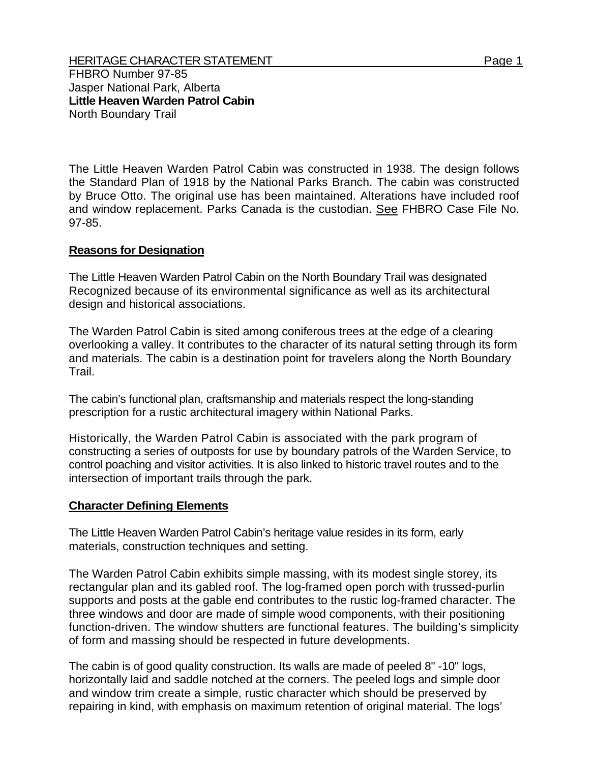The Little Heaven Warden Patrol Cabin was constructed in 1938. The design follows the Standard Plan of 1918 by the National Parks Branch. The cabin was constructed by Bruce Otto. The original use has been maintained. Alterations have included roof and window replacement. Parks Canada is the custodian. See FHBRO Case File No. 97-85.

## **Reasons for Designation**

The Little Heaven Warden Patrol Cabin on the North Boundary Trail was designated Recognized because of its environmental significance as well as its architectural design and historical associations.

The Warden Patrol Cabin is sited among coniferous trees at the edge of a clearing overlooking a valley. It contributes to the character of its natural setting through its form and materials. The cabin is a destination point for travelers along the North Boundary Trail.

The cabin's functional plan, craftsmanship and materials respect the long-standing prescription for a rustic architectural imagery within National Parks.

Historically, the Warden Patrol Cabin is associated with the park program of constructing a series of outposts for use by boundary patrols of the Warden Service, to control poaching and visitor activities. It is also linked to historic travel routes and to the intersection of important trails through the park.

## **Character Defining Elements**

The Little Heaven Warden Patrol Cabin's heritage value resides in its form, early materials, construction techniques and setting.

The Warden Patrol Cabin exhibits simple massing, with its modest single storey, its rectangular plan and its gabled roof. The log-framed open porch with trussed-purlin supports and posts at the gable end contributes to the rustic log-framed character. The three windows and door are made of simple wood components, with their positioning function-driven. The window shutters are functional features. The building's simplicity of form and massing should be respected in future developments.

The cabin is of good quality construction. Its walls are made of peeled 8" -10" logs, horizontally laid and saddle notched at the corners. The peeled logs and simple door and window trim create a simple, rustic character which should be preserved by repairing in kind, with emphasis on maximum retention of original material. The logs'